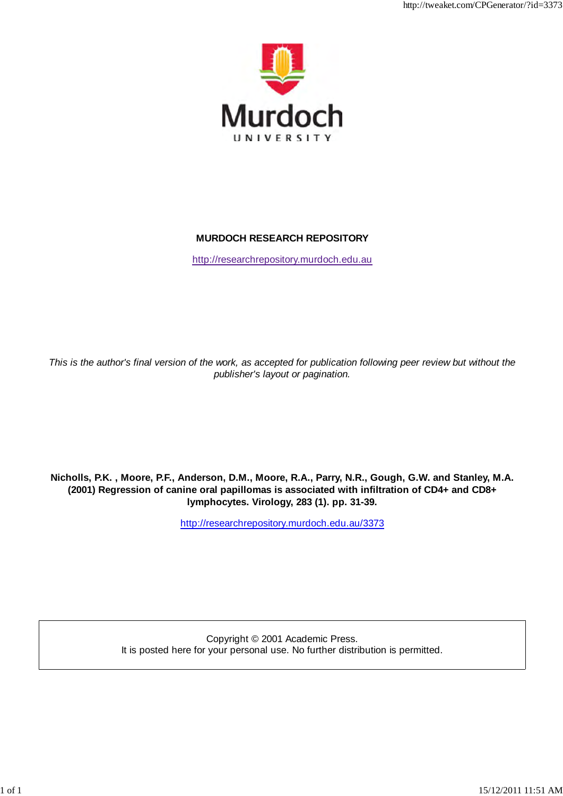

http://tweaket.com/CPGenerator/2013/2013/07/2013

# **MURDOCH RESEARCH REPOSITORY**

http://researchrepository.murdoch.edu.au

*This is the author's final version of the work, as accepted for publication following peer review but without the publisher's layout or pagination.*

**Nicholls, P.K. , Moore, P.F., Anderson, D.M., Moore, R.A., Parry, N.R., Gough, G.W. and Stanley, M.A. (2001) Regression of canine oral papillomas is associated with infiltration of CD4+ and CD8+ lymphocytes. Virology, 283 (1). pp. 31-39.**

http://researchrepository.murdoch.edu.au/3373

Copyright © 2001 Academic Press. It is posted here for your personal use. No further distribution is permitted.

1 of 1 15/12/2011 12:51 AM AM AN AM AN AM AN AM AN AN AM AN AM AN AM AN AM AN AM AN AM AN AM AN AM AN AM AN AM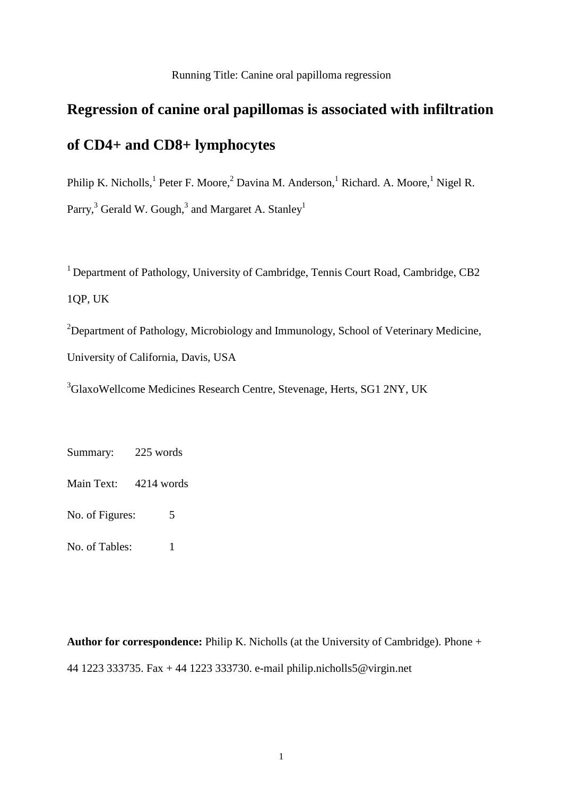## Running Title: Canine oral papilloma regression

# **Regression of canine oral papillomas is associated with infiltration of CD4+ and CD8+ lymphocytes**

Philip K. Nicholls,<sup>1</sup> Peter F. Moore,<sup>2</sup> Davina M. Anderson,<sup>1</sup> Richard. A. Moore,<sup>1</sup> Nigel R. Parry,<sup>3</sup> Gerald W. Gough,<sup>3</sup> and Margaret A. Stanley<sup>1</sup>

<sup>1</sup> Department of Pathology, University of Cambridge, Tennis Court Road, Cambridge, CB2 1QP, UK

<sup>2</sup>Department of Pathology, Microbiology and Immunology, School of Veterinary Medicine, University of California, Davis, USA

<sup>3</sup>GlaxoWellcome Medicines Research Centre, Stevenage, Herts, SG1 2NY, UK

Summary: 225 words

Main Text: 4214 words

No. of Figures: 5

No. of Tables: 1

**Author for correspondence:** Philip K. Nicholls (at the University of Cambridge). Phone + 44 1223 333735. Fax + 44 1223 333730. e-mail philip.nicholls5@virgin.net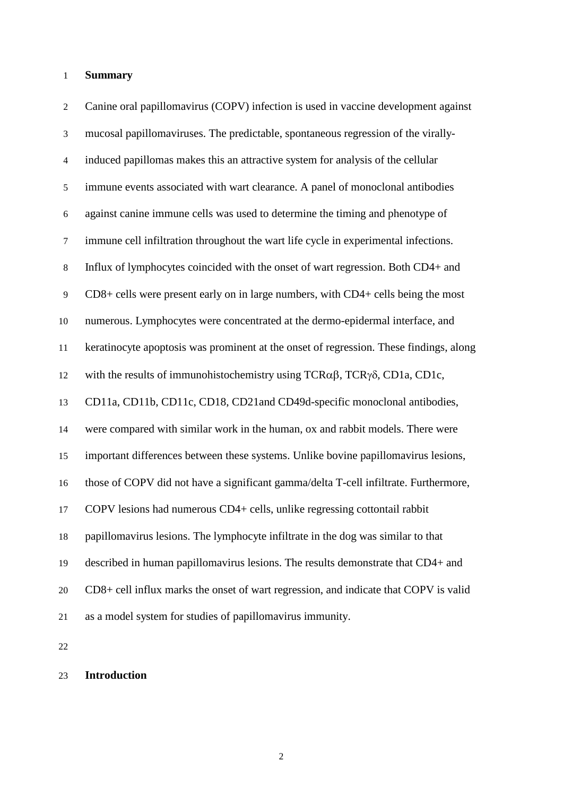### **Summary**

2 Canine oral papillomavirus (COPV) infection is used in vaccine development against 3 mucosal papillomaviruses. The predictable, spontaneous regression of the virally-4 induced papillomas makes this an attractive system for analysis of the cellular 5 immune events associated with wart clearance. A panel of monoclonal antibodies 6 against canine immune cells was used to determine the timing and phenotype of 7 immune cell infiltration throughout the wart life cycle in experimental infections. 8 Influx of lymphocytes coincided with the onset of wart regression. Both CD4+ and 9 CD8+ cells were present early on in large numbers, with CD4+ cells being the most numerous. Lymphocytes were concentrated at the dermo-epidermal interface, and keratinocyte apoptosis was prominent at the onset of regression. These findings, along 12 with the results of immunohistochemistry using  $TCR\alpha\beta$ ,  $TCR\gamma\delta$ , CD1a, CD1c, CD11a, CD11b, CD11c, CD18, CD21and CD49d-specific monoclonal antibodies, were compared with similar work in the human, ox and rabbit models. There were important differences between these systems. Unlike bovine papillomavirus lesions, those of COPV did not have a significant gamma/delta T-cell infiltrate. Furthermore, COPV lesions had numerous CD4+ cells, unlike regressing cottontail rabbit papillomavirus lesions. The lymphocyte infiltrate in the dog was similar to that described in human papillomavirus lesions. The results demonstrate that CD4+ and CD8+ cell influx marks the onset of wart regression, and indicate that COPV is valid as a model system for studies of papillomavirus immunity.

## **Introduction**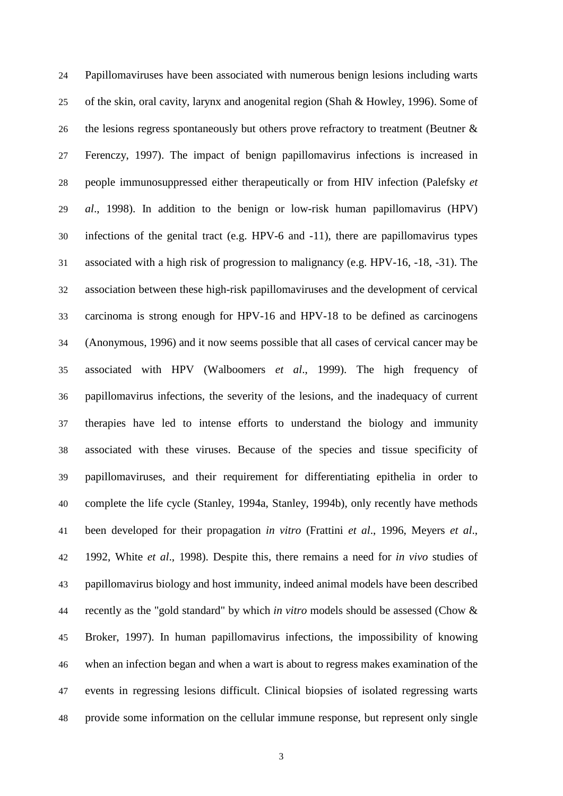Papillomaviruses have been associated with numerous benign lesions including warts of the skin, oral cavity, larynx and anogenital region (Shah & Howley, 1996). Some of 26 the lesions regress spontaneously but others prove refractory to treatment (Beutner & Ferenczy, 1997). The impact of benign papillomavirus infections is increased in people immunosuppressed either therapeutically or from HIV infection (Palefsky *et al*., 1998). In addition to the benign or low-risk human papillomavirus (HPV) infections of the genital tract (e.g. HPV-6 and -11), there are papillomavirus types associated with a high risk of progression to malignancy (e.g. HPV-16, -18, -31). The association between these high-risk papillomaviruses and the development of cervical carcinoma is strong enough for HPV-16 and HPV-18 to be defined as carcinogens (Anonymous, 1996) and it now seems possible that all cases of cervical cancer may be associated with HPV (Walboomers *et al*., 1999). The high frequency of papillomavirus infections, the severity of the lesions, and the inadequacy of current therapies have led to intense efforts to understand the biology and immunity associated with these viruses. Because of the species and tissue specificity of papillomaviruses, and their requirement for differentiating epithelia in order to complete the life cycle (Stanley, 1994a, Stanley, 1994b), only recently have methods been developed for their propagation *in vitro* (Frattini *et al*., 1996, Meyers *et al*., 1992, White *et al*., 1998). Despite this, there remains a need for *in vivo* studies of papillomavirus biology and host immunity, indeed animal models have been described recently as the "gold standard" by which *in vitro* models should be assessed (Chow & Broker, 1997). In human papillomavirus infections, the impossibility of knowing when an infection began and when a wart is about to regress makes examination of the events in regressing lesions difficult. Clinical biopsies of isolated regressing warts provide some information on the cellular immune response, but represent only single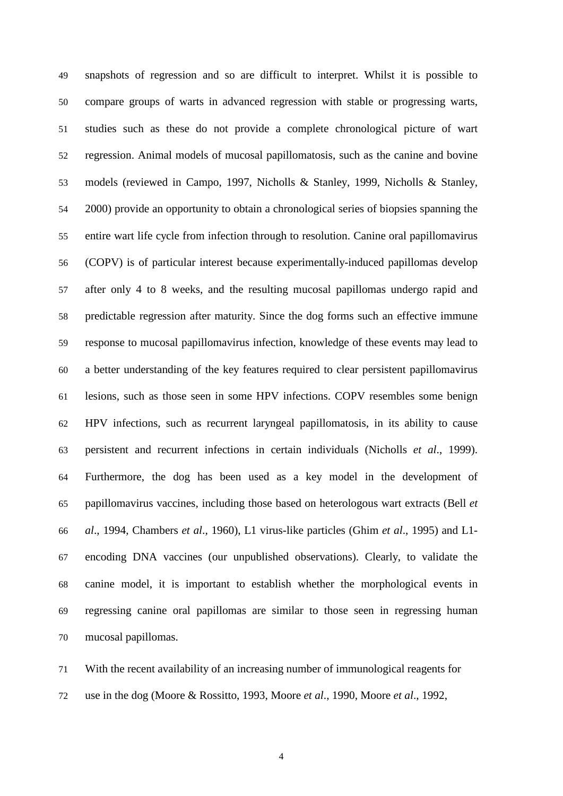snapshots of regression and so are difficult to interpret. Whilst it is possible to compare groups of warts in advanced regression with stable or progressing warts, studies such as these do not provide a complete chronological picture of wart regression. Animal models of mucosal papillomatosis, such as the canine and bovine models (reviewed in Campo, 1997, Nicholls & Stanley, 1999, Nicholls & Stanley, 2000) provide an opportunity to obtain a chronological series of biopsies spanning the entire wart life cycle from infection through to resolution. Canine oral papillomavirus (COPV) is of particular interest because experimentally-induced papillomas develop after only 4 to 8 weeks, and the resulting mucosal papillomas undergo rapid and predictable regression after maturity. Since the dog forms such an effective immune response to mucosal papillomavirus infection, knowledge of these events may lead to a better understanding of the key features required to clear persistent papillomavirus lesions, such as those seen in some HPV infections. COPV resembles some benign HPV infections, such as recurrent laryngeal papillomatosis, in its ability to cause persistent and recurrent infections in certain individuals (Nicholls *et al*., 1999). Furthermore, the dog has been used as a key model in the development of papillomavirus vaccines, including those based on heterologous wart extracts (Bell *et al*., 1994, Chambers *et al*., 1960), L1 virus-like particles (Ghim *et al*., 1995) and L1- encoding DNA vaccines (our unpublished observations). Clearly, to validate the canine model, it is important to establish whether the morphological events in regressing canine oral papillomas are similar to those seen in regressing human mucosal papillomas.

 With the recent availability of an increasing number of immunological reagents for use in the dog (Moore & Rossitto, 1993, Moore *et al*., 1990, Moore *et al*., 1992,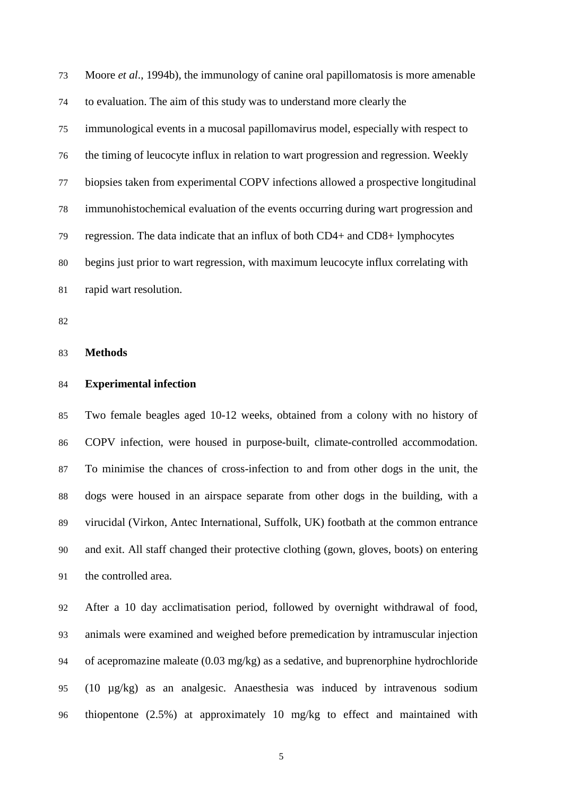Moore *et al*., 1994b), the immunology of canine oral papillomatosis is more amenable to evaluation. The aim of this study was to understand more clearly the immunological events in a mucosal papillomavirus model, especially with respect to the timing of leucocyte influx in relation to wart progression and regression. Weekly biopsies taken from experimental COPV infections allowed a prospective longitudinal immunohistochemical evaluation of the events occurring during wart progression and regression. The data indicate that an influx of both CD4+ and CD8+ lymphocytes begins just prior to wart regression, with maximum leucocyte influx correlating with rapid wart resolution.

**Methods**

## **Experimental infection**

 Two female beagles aged 10-12 weeks, obtained from a colony with no history of COPV infection, were housed in purpose-built, climate-controlled accommodation. To minimise the chances of cross-infection to and from other dogs in the unit, the dogs were housed in an airspace separate from other dogs in the building, with a virucidal (Virkon, Antec International, Suffolk, UK) footbath at the common entrance and exit. All staff changed their protective clothing (gown, gloves, boots) on entering the controlled area.

 After a 10 day acclimatisation period, followed by overnight withdrawal of food, animals were examined and weighed before premedication by intramuscular injection of acepromazine maleate (0.03 mg/kg) as a sedative, and buprenorphine hydrochloride (10 µg/kg) as an analgesic. Anaesthesia was induced by intravenous sodium thiopentone (2.5%) at approximately 10 mg/kg to effect and maintained with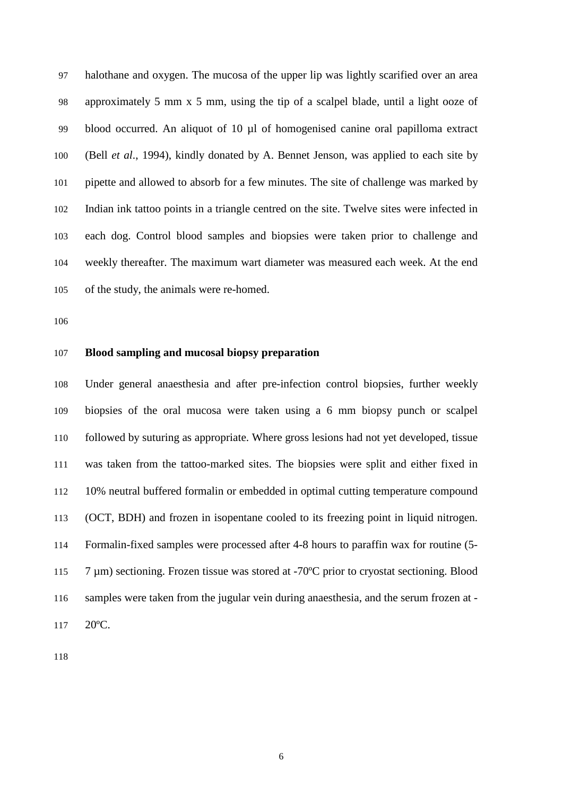halothane and oxygen. The mucosa of the upper lip was lightly scarified over an area approximately 5 mm x 5 mm, using the tip of a scalpel blade, until a light ooze of blood occurred. An aliquot of 10 µl of homogenised canine oral papilloma extract (Bell *et al*., 1994), kindly donated by A. Bennet Jenson, was applied to each site by pipette and allowed to absorb for a few minutes. The site of challenge was marked by Indian ink tattoo points in a triangle centred on the site. Twelve sites were infected in each dog. Control blood samples and biopsies were taken prior to challenge and weekly thereafter. The maximum wart diameter was measured each week. At the end of the study, the animals were re-homed.

### **Blood sampling and mucosal biopsy preparation**

 Under general anaesthesia and after pre-infection control biopsies, further weekly biopsies of the oral mucosa were taken using a 6 mm biopsy punch or scalpel followed by suturing as appropriate. Where gross lesions had not yet developed, tissue was taken from the tattoo-marked sites. The biopsies were split and either fixed in 10% neutral buffered formalin or embedded in optimal cutting temperature compound (OCT, BDH) and frozen in isopentane cooled to its freezing point in liquid nitrogen. Formalin-fixed samples were processed after 4-8 hours to paraffin wax for routine (5- 115 7 µm) sectioning. Frozen tissue was stored at -70°C prior to cryostat sectioning. Blood samples were taken from the jugular vein during anaesthesia, and the serum frozen at - 117 20°C.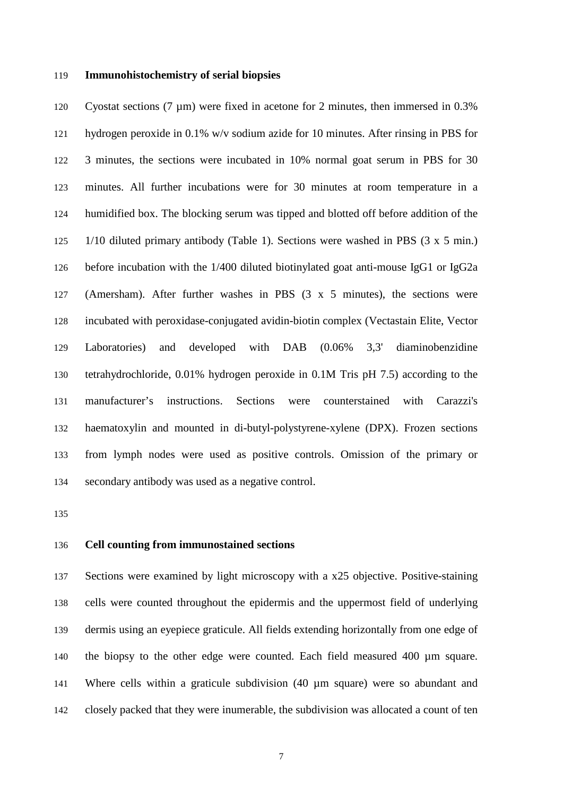#### **Immunohistochemistry of serial biopsies**

 Cyostat sections (7 µm) were fixed in acetone for 2 minutes, then immersed in 0.3% hydrogen peroxide in 0.1% w/v sodium azide for 10 minutes. After rinsing in PBS for 3 minutes, the sections were incubated in 10% normal goat serum in PBS for 30 minutes. All further incubations were for 30 minutes at room temperature in a humidified box. The blocking serum was tipped and blotted off before addition of the 1/10 diluted primary antibody (Table 1). Sections were washed in PBS (3 x 5 min.) before incubation with the 1/400 diluted biotinylated goat anti-mouse IgG1 or IgG2a (Amersham). After further washes in PBS (3 x 5 minutes), the sections were incubated with peroxidase-conjugated avidin-biotin complex (Vectastain Elite, Vector Laboratories) and developed with DAB (0.06% 3,3' diaminobenzidine tetrahydrochloride, 0.01% hydrogen peroxide in 0.1M Tris pH 7.5) according to the manufacturer's instructions. Sections were counterstained with Carazzi's haematoxylin and mounted in di-butyl-polystyrene-xylene (DPX). Frozen sections from lymph nodes were used as positive controls. Omission of the primary or secondary antibody was used as a negative control.

## **Cell counting from immunostained sections**

 Sections were examined by light microscopy with a x25 objective. Positive-staining cells were counted throughout the epidermis and the uppermost field of underlying dermis using an eyepiece graticule. All fields extending horizontally from one edge of the biopsy to the other edge were counted. Each field measured 400 µm square. Where cells within a graticule subdivision (40 µm square) were so abundant and closely packed that they were inumerable, the subdivision was allocated a count of ten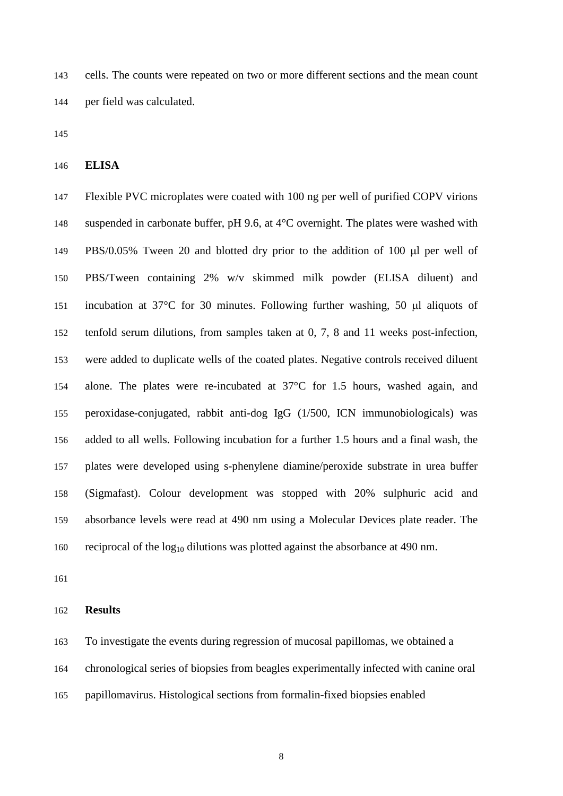cells. The counts were repeated on two or more different sections and the mean count per field was calculated.

**ELISA**

 Flexible PVC microplates were coated with 100 ng per well of purified COPV virions suspended in carbonate buffer, pH 9.6, at 4°C overnight. The plates were washed with PBS/0.05% Tween 20 and blotted dry prior to the addition of 100 µl per well of PBS/Tween containing 2% w/v skimmed milk powder (ELISA diluent) and incubation at 37°C for 30 minutes. Following further washing, 50 µl aliquots of tenfold serum dilutions, from samples taken at 0, 7, 8 and 11 weeks post-infection, were added to duplicate wells of the coated plates. Negative controls received diluent alone. The plates were re-incubated at 37°C for 1.5 hours, washed again, and peroxidase-conjugated, rabbit anti-dog IgG (1/500, ICN immunobiologicals) was added to all wells. Following incubation for a further 1.5 hours and a final wash, the plates were developed using s-phenylene diamine/peroxide substrate in urea buffer (Sigmafast). Colour development was stopped with 20% sulphuric acid and absorbance levels were read at 490 nm using a Molecular Devices plate reader. The 160 reciprocal of the  $log_{10}$  dilutions was plotted against the absorbance at 490 nm.

**Results**

 To investigate the events during regression of mucosal papillomas, we obtained a chronological series of biopsies from beagles experimentally infected with canine oral papillomavirus. Histological sections from formalin-fixed biopsies enabled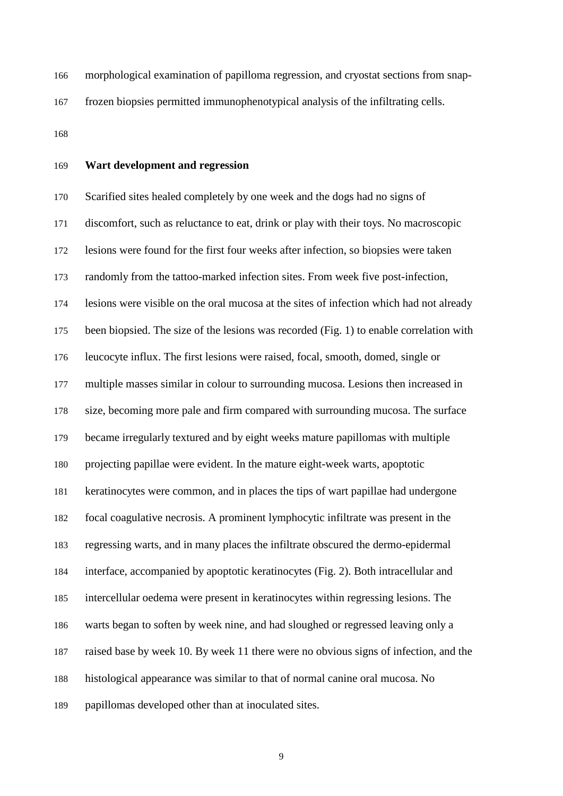morphological examination of papilloma regression, and cryostat sections from snap-frozen biopsies permitted immunophenotypical analysis of the infiltrating cells.

# **Wart development and regression**

 Scarified sites healed completely by one week and the dogs had no signs of discomfort, such as reluctance to eat, drink or play with their toys. No macroscopic lesions were found for the first four weeks after infection, so biopsies were taken randomly from the tattoo-marked infection sites. From week five post-infection, lesions were visible on the oral mucosa at the sites of infection which had not already been biopsied. The size of the lesions was recorded (Fig. 1) to enable correlation with leucocyte influx. The first lesions were raised, focal, smooth, domed, single or multiple masses similar in colour to surrounding mucosa. Lesions then increased in size, becoming more pale and firm compared with surrounding mucosa. The surface became irregularly textured and by eight weeks mature papillomas with multiple projecting papillae were evident. In the mature eight-week warts, apoptotic keratinocytes were common, and in places the tips of wart papillae had undergone focal coagulative necrosis. A prominent lymphocytic infiltrate was present in the regressing warts, and in many places the infiltrate obscured the dermo-epidermal interface, accompanied by apoptotic keratinocytes (Fig. 2). Both intracellular and intercellular oedema were present in keratinocytes within regressing lesions. The warts began to soften by week nine, and had sloughed or regressed leaving only a raised base by week 10. By week 11 there were no obvious signs of infection, and the histological appearance was similar to that of normal canine oral mucosa. No papillomas developed other than at inoculated sites.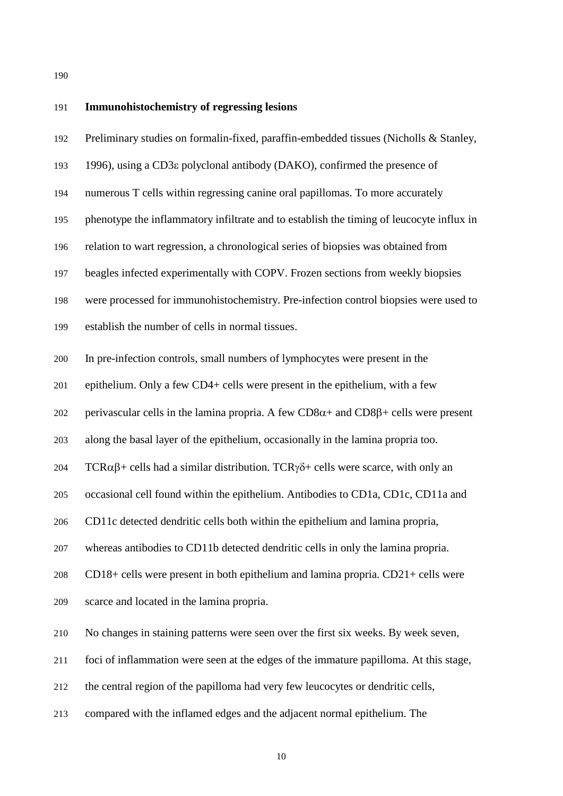#### **Immunohistochemistry of regressing lesions**

 Preliminary studies on formalin-fixed, paraffin-embedded tissues (Nicholls & Stanley, 1996), using a CD3ε polyclonal antibody (DAKO), confirmed the presence of numerous T cells within regressing canine oral papillomas. To more accurately phenotype the inflammatory infiltrate and to establish the timing of leucocyte influx in relation to wart regression, a chronological series of biopsies was obtained from beagles infected experimentally with COPV. Frozen sections from weekly biopsies were processed for immunohistochemistry. Pre-infection control biopsies were used to establish the number of cells in normal tissues. In pre-infection controls, small numbers of lymphocytes were present in the epithelium. Only a few CD4+ cells were present in the epithelium, with a few 202 perivascular cells in the lamina propria. A few  $CD8\alpha +$  and  $CD8\beta +$  cells were present along the basal layer of the epithelium, occasionally in the lamina propria too. 204 TCRαβ+ cells had a similar distribution. TCRγδ+ cells were scarce, with only an occasional cell found within the epithelium. Antibodies to CD1a, CD1c, CD11a and CD11c detected dendritic cells both within the epithelium and lamina propria, whereas antibodies to CD11b detected dendritic cells in only the lamina propria. CD18+ cells were present in both epithelium and lamina propria. CD21+ cells were scarce and located in the lamina propria. No changes in staining patterns were seen over the first six weeks. By week seven, foci of inflammation were seen at the edges of the immature papilloma. At this stage, the central region of the papilloma had very few leucocytes or dendritic cells,

compared with the inflamed edges and the adjacent normal epithelium. The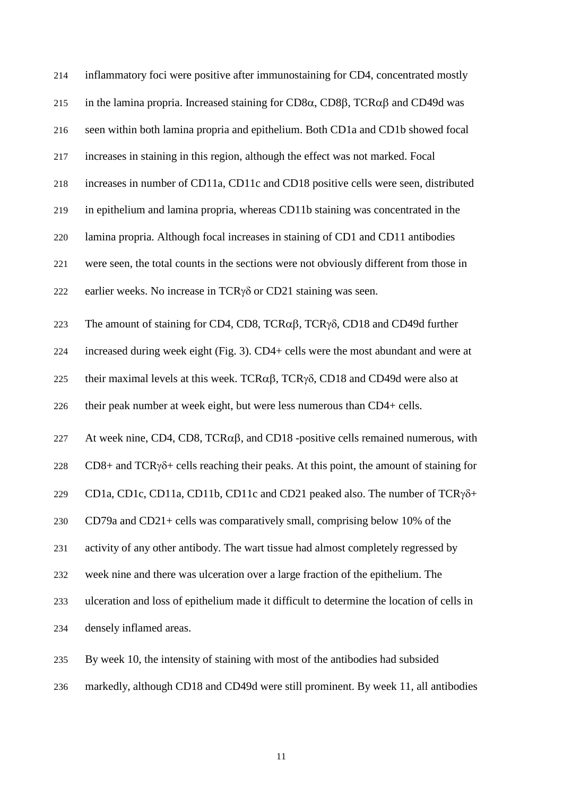| 214 | inflammatory foci were positive after immunostaining for CD4, concentrated mostly                          |
|-----|------------------------------------------------------------------------------------------------------------|
| 215 | in the lamina propria. Increased staining for CD8 $\alpha$ , CD8 $\beta$ , TCR $\alpha\beta$ and CD49d was |
| 216 | seen within both lamina propria and epithelium. Both CD1a and CD1b showed focal                            |
| 217 | increases in staining in this region, although the effect was not marked. Focal                            |
| 218 | increases in number of CD11a, CD11c and CD18 positive cells were seen, distributed                         |
| 219 | in epithelium and lamina propria, whereas CD11b staining was concentrated in the                           |
| 220 | lamina propria. Although focal increases in staining of CD1 and CD11 antibodies                            |
| 221 | were seen, the total counts in the sections were not obviously different from those in                     |
| 222 | earlier weeks. No increase in $TCRy\delta$ or $CD21$ staining was seen.                                    |
| 223 | The amount of staining for CD4, CD8, TCR $\alpha\beta$ , TCR $\gamma\delta$ , CD18 and CD49d further       |
| 224 | increased during week eight (Fig. 3). CD4+ cells were the most abundant and were at                        |
| 225 | their maximal levels at this week. TCR $\alpha\beta$ , TCR $\gamma\delta$ , CD18 and CD49d were also at    |
| 226 | their peak number at week eight, but were less numerous than CD4+ cells.                                   |
| 227 | At week nine, CD4, CD8, TCR $\alpha\beta$ , and CD18 -positive cells remained numerous, with               |
| 228 | $CD8+$ and TCR $\gamma\delta$ + cells reaching their peaks. At this point, the amount of staining for      |
| 229 | CD1a, CD1c, CD11a, CD11b, CD11c and CD21 peaked also. The number of TCRγδ+                                 |
| 230 | CD79a and CD21+ cells was comparatively small, comprising below 10% of the                                 |
| 231 | activity of any other antibody. The wart tissue had almost completely regressed by                         |
| 232 | week nine and there was ulceration over a large fraction of the epithelium. The                            |
| 233 | ulceration and loss of epithelium made it difficult to determine the location of cells in                  |
| 234 | densely inflamed areas.                                                                                    |
| 235 | By week 10, the intensity of staining with most of the antibodies had subsided                             |

markedly, although CD18 and CD49d were still prominent. By week 11, all antibodies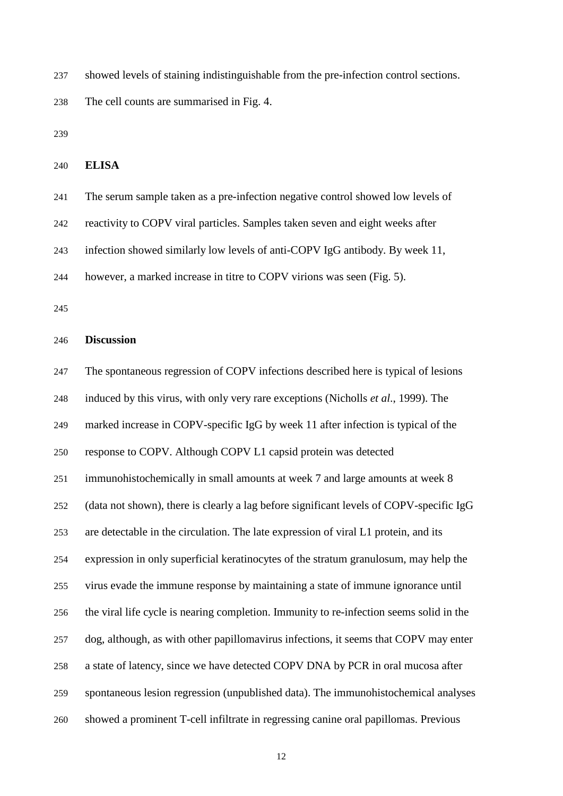showed levels of staining indistinguishable from the pre-infection control sections.

The cell counts are summarised in Fig. 4.

## **ELISA**

 The serum sample taken as a pre-infection negative control showed low levels of reactivity to COPV viral particles. Samples taken seven and eight weeks after infection showed similarly low levels of anti-COPV IgG antibody. By week 11, however, a marked increase in titre to COPV virions was seen (Fig. 5).

#### **Discussion**

 The spontaneous regression of COPV infections described here is typical of lesions induced by this virus, with only very rare exceptions (Nicholls *et al*., 1999). The marked increase in COPV-specific IgG by week 11 after infection is typical of the response to COPV. Although COPV L1 capsid protein was detected immunohistochemically in small amounts at week 7 and large amounts at week 8 (data not shown), there is clearly a lag before significant levels of COPV-specific IgG are detectable in the circulation. The late expression of viral L1 protein, and its expression in only superficial keratinocytes of the stratum granulosum, may help the virus evade the immune response by maintaining a state of immune ignorance until the viral life cycle is nearing completion. Immunity to re-infection seems solid in the dog, although, as with other papillomavirus infections, it seems that COPV may enter a state of latency, since we have detected COPV DNA by PCR in oral mucosa after spontaneous lesion regression (unpublished data). The immunohistochemical analyses showed a prominent T-cell infiltrate in regressing canine oral papillomas. Previous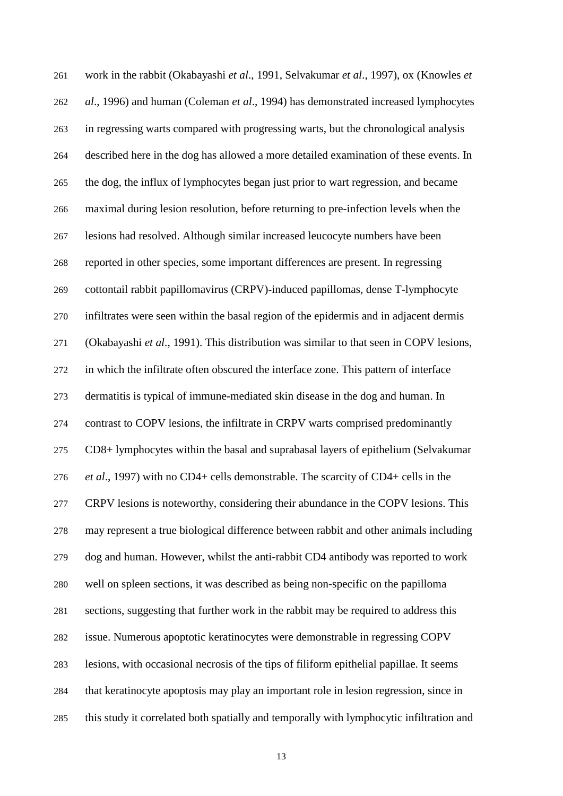work in the rabbit (Okabayashi *et al*., 1991, Selvakumar *et al*., 1997), ox (Knowles *et al*., 1996) and human (Coleman *et al*., 1994) has demonstrated increased lymphocytes in regressing warts compared with progressing warts, but the chronological analysis described here in the dog has allowed a more detailed examination of these events. In the dog, the influx of lymphocytes began just prior to wart regression, and became maximal during lesion resolution, before returning to pre-infection levels when the lesions had resolved. Although similar increased leucocyte numbers have been reported in other species, some important differences are present. In regressing cottontail rabbit papillomavirus (CRPV)-induced papillomas, dense T-lymphocyte infiltrates were seen within the basal region of the epidermis and in adjacent dermis (Okabayashi *et al*., 1991). This distribution was similar to that seen in COPV lesions, in which the infiltrate often obscured the interface zone. This pattern of interface dermatitis is typical of immune-mediated skin disease in the dog and human. In contrast to COPV lesions, the infiltrate in CRPV warts comprised predominantly CD8+ lymphocytes within the basal and suprabasal layers of epithelium (Selvakumar *et al*., 1997) with no CD4+ cells demonstrable. The scarcity of CD4+ cells in the CRPV lesions is noteworthy, considering their abundance in the COPV lesions. This may represent a true biological difference between rabbit and other animals including dog and human. However, whilst the anti-rabbit CD4 antibody was reported to work well on spleen sections, it was described as being non-specific on the papilloma sections, suggesting that further work in the rabbit may be required to address this issue. Numerous apoptotic keratinocytes were demonstrable in regressing COPV lesions, with occasional necrosis of the tips of filiform epithelial papillae. It seems that keratinocyte apoptosis may play an important role in lesion regression, since in this study it correlated both spatially and temporally with lymphocytic infiltration and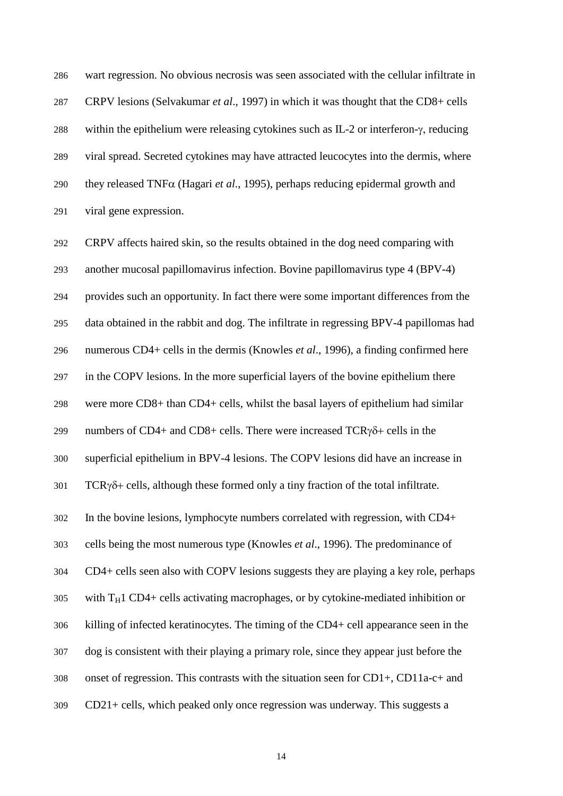wart regression. No obvious necrosis was seen associated with the cellular infiltrate in CRPV lesions (Selvakumar *et al*., 1997) in which it was thought that the CD8+ cells within the epithelium were releasing cytokines such as IL-2 or interferon-γ, reducing viral spread. Secreted cytokines may have attracted leucocytes into the dermis, where they released TNFα (Hagari *et al*., 1995), perhaps reducing epidermal growth and viral gene expression.

 CRPV affects haired skin, so the results obtained in the dog need comparing with another mucosal papillomavirus infection. Bovine papillomavirus type 4 (BPV-4) provides such an opportunity. In fact there were some important differences from the data obtained in the rabbit and dog. The infiltrate in regressing BPV-4 papillomas had numerous CD4+ cells in the dermis (Knowles *et al*., 1996), a finding confirmed here in the COPV lesions. In the more superficial layers of the bovine epithelium there were more CD8+ than CD4+ cells, whilst the basal layers of epithelium had similar numbers of CD4+ and CD8+ cells. There were increased TCRγδ+ cells in the superficial epithelium in BPV-4 lesions. The COPV lesions did have an increase in TCRγ $\delta$ + cells, although these formed only a tiny fraction of the total infiltrate. In the bovine lesions, lymphocyte numbers correlated with regression, with CD4+ cells being the most numerous type (Knowles *et al*., 1996). The predominance of CD4+ cells seen also with COPV lesions suggests they are playing a key role, perhaps with T<sub>H</sub>1 CD4+ cells activating macrophages, or by cytokine-mediated inhibition or killing of infected keratinocytes. The timing of the CD4+ cell appearance seen in the dog is consistent with their playing a primary role, since they appear just before the onset of regression. This contrasts with the situation seen for CD1+, CD11a-c+ and CD21+ cells, which peaked only once regression was underway. This suggests a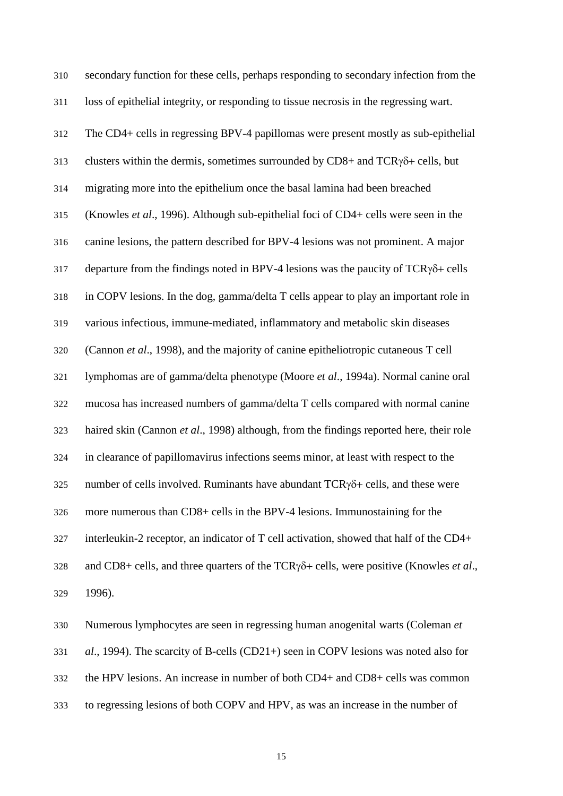secondary function for these cells, perhaps responding to secondary infection from the loss of epithelial integrity, or responding to tissue necrosis in the regressing wart. The CD4+ cells in regressing BPV-4 papillomas were present mostly as sub-epithelial 313 clusters within the dermis, sometimes surrounded by  $CD8+$  and  $TCR\gamma\delta+$  cells, but migrating more into the epithelium once the basal lamina had been breached (Knowles *et al*., 1996). Although sub-epithelial foci of CD4+ cells were seen in the canine lesions, the pattern described for BPV-4 lesions was not prominent. A major 317 departure from the findings noted in BPV-4 lesions was the paucity of  $TCR\gamma\delta$ + cells in COPV lesions. In the dog, gamma/delta T cells appear to play an important role in various infectious, immune-mediated, inflammatory and metabolic skin diseases (Cannon *et al*., 1998), and the majority of canine epitheliotropic cutaneous T cell lymphomas are of gamma/delta phenotype (Moore *et al*., 1994a). Normal canine oral mucosa has increased numbers of gamma/delta T cells compared with normal canine haired skin (Cannon *et al*., 1998) although, from the findings reported here, their role in clearance of papillomavirus infections seems minor, at least with respect to the number of cells involved. Ruminants have abundant TCRγδ+ cells, and these were more numerous than CD8+ cells in the BPV-4 lesions. Immunostaining for the interleukin-2 receptor, an indicator of T cell activation, showed that half of the CD4+ and CD8+ cells, and three quarters of the TCRγδ+ cells, were positive (Knowles *et al*., 1996).

 Numerous lymphocytes are seen in regressing human anogenital warts (Coleman *et al*., 1994). The scarcity of B-cells (CD21+) seen in COPV lesions was noted also for the HPV lesions. An increase in number of both CD4+ and CD8+ cells was common to regressing lesions of both COPV and HPV, as was an increase in the number of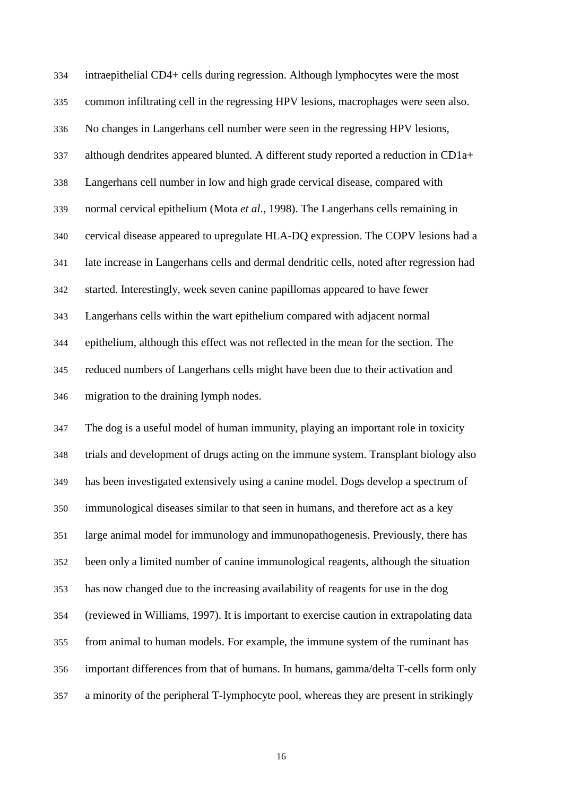intraepithelial CD4+ cells during regression. Although lymphocytes were the most common infiltrating cell in the regressing HPV lesions, macrophages were seen also. No changes in Langerhans cell number were seen in the regressing HPV lesions, although dendrites appeared blunted. A different study reported a reduction in CD1a+ Langerhans cell number in low and high grade cervical disease, compared with normal cervical epithelium (Mota *et al*., 1998). The Langerhans cells remaining in cervical disease appeared to upregulate HLA-DQ expression. The COPV lesions had a late increase in Langerhans cells and dermal dendritic cells, noted after regression had started. Interestingly, week seven canine papillomas appeared to have fewer Langerhans cells within the wart epithelium compared with adjacent normal epithelium, although this effect was not reflected in the mean for the section. The reduced numbers of Langerhans cells might have been due to their activation and migration to the draining lymph nodes.

 The dog is a useful model of human immunity, playing an important role in toxicity trials and development of drugs acting on the immune system. Transplant biology also has been investigated extensively using a canine model. Dogs develop a spectrum of immunological diseases similar to that seen in humans, and therefore act as a key large animal model for immunology and immunopathogenesis. Previously, there has been only a limited number of canine immunological reagents, although the situation has now changed due to the increasing availability of reagents for use in the dog (reviewed in Williams, 1997). It is important to exercise caution in extrapolating data from animal to human models. For example, the immune system of the ruminant has important differences from that of humans. In humans, gamma/delta T-cells form only a minority of the peripheral T-lymphocyte pool, whereas they are present in strikingly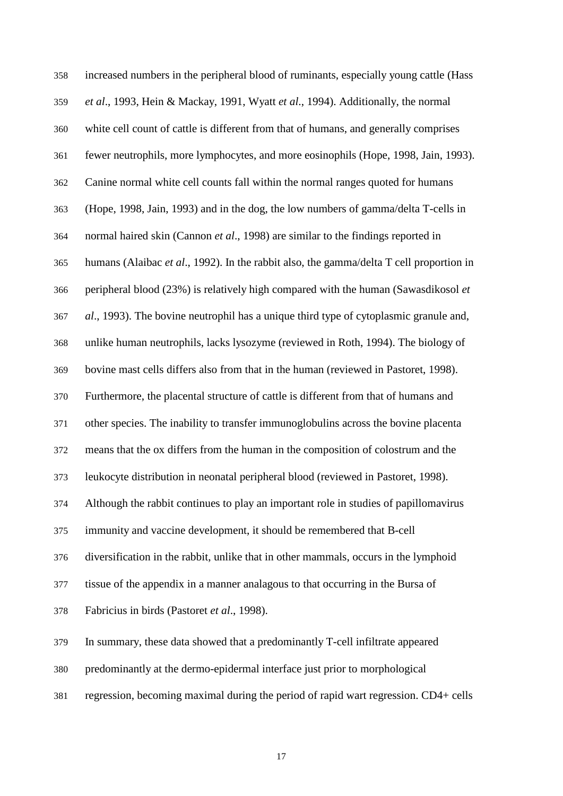increased numbers in the peripheral blood of ruminants, especially young cattle (Hass *et al*., 1993, Hein & Mackay, 1991, Wyatt *et al*., 1994). Additionally, the normal white cell count of cattle is different from that of humans, and generally comprises fewer neutrophils, more lymphocytes, and more eosinophils (Hope, 1998, Jain, 1993). Canine normal white cell counts fall within the normal ranges quoted for humans (Hope, 1998, Jain, 1993) and in the dog, the low numbers of gamma/delta T-cells in normal haired skin (Cannon *et al*., 1998) are similar to the findings reported in humans (Alaibac *et al*., 1992). In the rabbit also, the gamma/delta T cell proportion in peripheral blood (23%) is relatively high compared with the human (Sawasdikosol *et al*., 1993). The bovine neutrophil has a unique third type of cytoplasmic granule and, unlike human neutrophils, lacks lysozyme (reviewed in Roth, 1994). The biology of bovine mast cells differs also from that in the human (reviewed in Pastoret, 1998). Furthermore, the placental structure of cattle is different from that of humans and other species. The inability to transfer immunoglobulins across the bovine placenta means that the ox differs from the human in the composition of colostrum and the leukocyte distribution in neonatal peripheral blood (reviewed in Pastoret, 1998). Although the rabbit continues to play an important role in studies of papillomavirus immunity and vaccine development, it should be remembered that B-cell diversification in the rabbit, unlike that in other mammals, occurs in the lymphoid tissue of the appendix in a manner analagous to that occurring in the Bursa of Fabricius in birds (Pastoret *et al*., 1998). In summary, these data showed that a predominantly T-cell infiltrate appeared predominantly at the dermo-epidermal interface just prior to morphological regression, becoming maximal during the period of rapid wart regression. CD4+ cells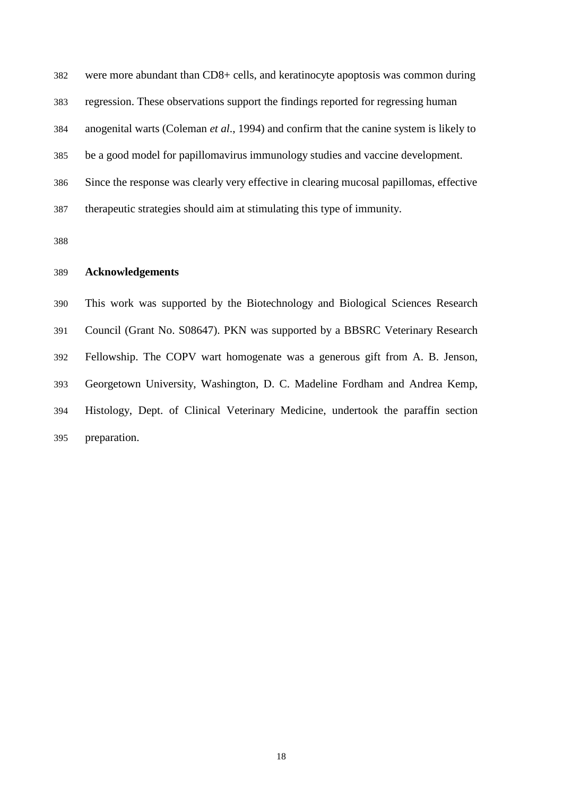were more abundant than CD8+ cells, and keratinocyte apoptosis was common during regression. These observations support the findings reported for regressing human anogenital warts (Coleman *et al*., 1994) and confirm that the canine system is likely to be a good model for papillomavirus immunology studies and vaccine development. Since the response was clearly very effective in clearing mucosal papillomas, effective therapeutic strategies should aim at stimulating this type of immunity.

# **Acknowledgements**

 This work was supported by the Biotechnology and Biological Sciences Research Council (Grant No. S08647). PKN was supported by a BBSRC Veterinary Research Fellowship. The COPV wart homogenate was a generous gift from A. B. Jenson, Georgetown University, Washington, D. C. Madeline Fordham and Andrea Kemp, Histology, Dept. of Clinical Veterinary Medicine, undertook the paraffin section preparation.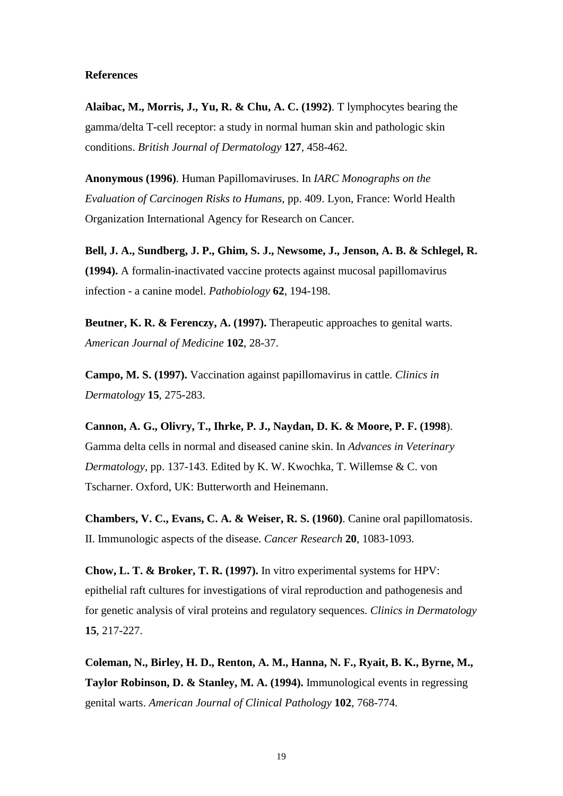## **References**

**Alaibac, M., Morris, J., Yu, R. & Chu, A. C. (1992)**. T lymphocytes bearing the gamma/delta T-cell receptor: a study in normal human skin and pathologic skin conditions. *British Journal of Dermatology* **127**, 458-462.

**Anonymous (1996)**. Human Papillomaviruses. In *IARC Monographs on the Evaluation of Carcinogen Risks to Humans*, pp. 409. Lyon, France: World Health Organization International Agency for Research on Cancer.

**Bell, J. A., Sundberg, J. P., Ghim, S. J., Newsome, J., Jenson, A. B. & Schlegel, R. (1994).** A formalin-inactivated vaccine protects against mucosal papillomavirus infection - a canine model. *Pathobiology* **62**, 194-198.

**Beutner, K. R. & Ferenczy, A. (1997).** Therapeutic approaches to genital warts. *American Journal of Medicine* **102**, 28-37.

**Campo, M. S. (1997).** Vaccination against papillomavirus in cattle. *Clinics in Dermatology* **15**, 275-283.

**Cannon, A. G., Olivry, T., Ihrke, P. J., Naydan, D. K. & Moore, P. F. (1998**). Gamma delta cells in normal and diseased canine skin. In *Advances in Veterinary Dermatology*, pp. 137-143. Edited by K. W. Kwochka, T. Willemse & C. von Tscharner. Oxford, UK: Butterworth and Heinemann.

**Chambers, V. C., Evans, C. A. & Weiser, R. S. (1960)**. Canine oral papillomatosis. II. Immunologic aspects of the disease. *Cancer Research* **20**, 1083-1093.

**Chow, L. T. & Broker, T. R. (1997).** In vitro experimental systems for HPV: epithelial raft cultures for investigations of viral reproduction and pathogenesis and for genetic analysis of viral proteins and regulatory sequences. *Clinics in Dermatology* **15**, 217-227.

**Coleman, N., Birley, H. D., Renton, A. M., Hanna, N. F., Ryait, B. K., Byrne, M., Taylor Robinson, D. & Stanley, M. A. (1994).** Immunological events in regressing genital warts. *American Journal of Clinical Pathology* **102**, 768-774.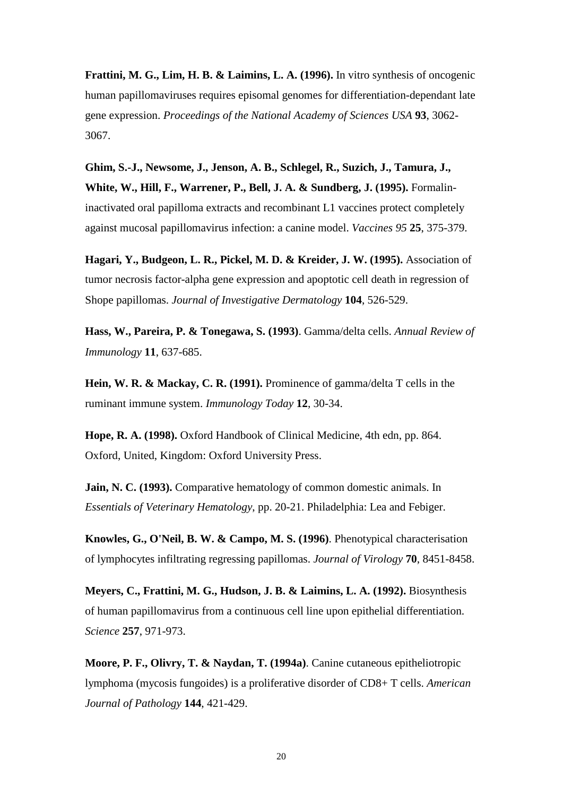**Frattini, M. G., Lim, H. B. & Laimins, L. A. (1996).** In vitro synthesis of oncogenic human papillomaviruses requires episomal genomes for differentiation-dependant late gene expression. *Proceedings of the National Academy of Sciences USA* **93**, 3062- 3067.

**Ghim, S.-J., Newsome, J., Jenson, A. B., Schlegel, R., Suzich, J., Tamura, J., White, W., Hill, F., Warrener, P., Bell, J. A. & Sundberg, J. (1995).** Formalininactivated oral papilloma extracts and recombinant L1 vaccines protect completely against mucosal papillomavirus infection: a canine model. *Vaccines 95* **25**, 375-379.

**Hagari, Y., Budgeon, L. R., Pickel, M. D. & Kreider, J. W. (1995).** Association of tumor necrosis factor-alpha gene expression and apoptotic cell death in regression of Shope papillomas. *Journal of Investigative Dermatology* **104**, 526-529.

**Hass, W., Pareira, P. & Tonegawa, S. (1993)**. Gamma/delta cells. *Annual Review of Immunology* **11**, 637-685.

**Hein, W. R. & Mackay, C. R. (1991).** Prominence of gamma/delta T cells in the ruminant immune system. *Immunology Today* **12**, 30-34.

**Hope, R. A. (1998).** Oxford Handbook of Clinical Medicine, 4th edn, pp. 864. Oxford, United, Kingdom: Oxford University Press.

**Jain, N. C. (1993).** Comparative hematology of common domestic animals. In *Essentials of Veterinary Hematology*, pp. 20-21. Philadelphia: Lea and Febiger.

**Knowles, G., O'Neil, B. W. & Campo, M. S. (1996)**. Phenotypical characterisation of lymphocytes infiltrating regressing papillomas. *Journal of Virology* **70**, 8451-8458.

**Meyers, C., Frattini, M. G., Hudson, J. B. & Laimins, L. A. (1992).** Biosynthesis of human papillomavirus from a continuous cell line upon epithelial differentiation. *Science* **257**, 971-973.

**Moore, P. F., Olivry, T. & Naydan, T. (1994a)**. Canine cutaneous epitheliotropic lymphoma (mycosis fungoides) is a proliferative disorder of CD8+ T cells. *American Journal of Pathology* **144**, 421-429.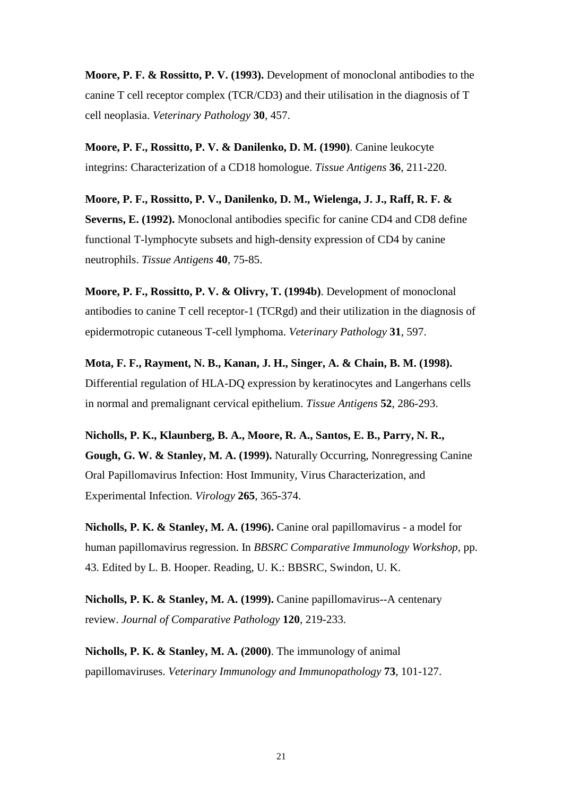**Moore, P. F. & Rossitto, P. V. (1993).** Development of monoclonal antibodies to the canine T cell receptor complex (TCR/CD3) and their utilisation in the diagnosis of T cell neoplasia. *Veterinary Pathology* **30**, 457.

**Moore, P. F., Rossitto, P. V. & Danilenko, D. M. (1990)**. Canine leukocyte integrins: Characterization of a CD18 homologue. *Tissue Antigens* **36**, 211-220.

**Moore, P. F., Rossitto, P. V., Danilenko, D. M., Wielenga, J. J., Raff, R. F. & Severns, E. (1992).** Monoclonal antibodies specific for canine CD4 and CD8 define functional T-lymphocyte subsets and high-density expression of CD4 by canine neutrophils. *Tissue Antigens* **40**, 75-85.

**Moore, P. F., Rossitto, P. V. & Olivry, T. (1994b)**. Development of monoclonal antibodies to canine T cell receptor-1 (TCRgd) and their utilization in the diagnosis of epidermotropic cutaneous T-cell lymphoma. *Veterinary Pathology* **31**, 597.

**Mota, F. F., Rayment, N. B., Kanan, J. H., Singer, A. & Chain, B. M. (1998).**  Differential regulation of HLA-DQ expression by keratinocytes and Langerhans cells in normal and premalignant cervical epithelium. *Tissue Antigens* **52**, 286-293.

**Nicholls, P. K., Klaunberg, B. A., Moore, R. A., Santos, E. B., Parry, N. R., Gough, G. W. & Stanley, M. A. (1999).** Naturally Occurring, Nonregressing Canine Oral Papillomavirus Infection: Host Immunity, Virus Characterization, and Experimental Infection. *Virology* **265**, 365-374.

**Nicholls, P. K. & Stanley, M. A. (1996).** Canine oral papillomavirus - a model for human papillomavirus regression. In *BBSRC Comparative Immunology Workshop*, pp. 43. Edited by L. B. Hooper. Reading, U. K.: BBSRC, Swindon, U. K.

**Nicholls, P. K. & Stanley, M. A. (1999).** Canine papillomavirus--A centenary review. *Journal of Comparative Pathology* **120**, 219-233.

**Nicholls, P. K. & Stanley, M. A. (2000)**. The immunology of animal papillomaviruses. *Veterinary Immunology and Immunopathology* **73**, 101-127.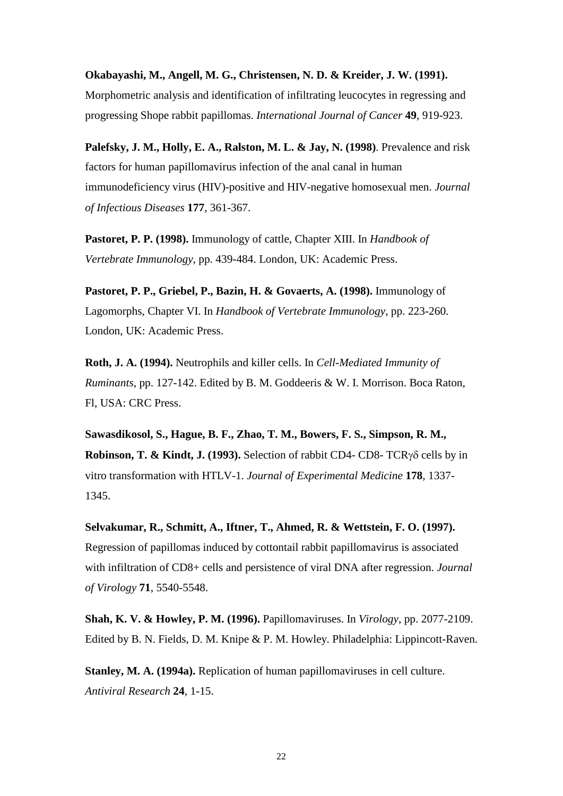**Okabayashi, M., Angell, M. G., Christensen, N. D. & Kreider, J. W. (1991).**  Morphometric analysis and identification of infiltrating leucocytes in regressing and progressing Shope rabbit papillomas. *International Journal of Cancer* **49**, 919-923.

**Palefsky, J. M., Holly, E. A., Ralston, M. L. & Jay, N. (1998)**. Prevalence and risk factors for human papillomavirus infection of the anal canal in human immunodeficiency virus (HIV)-positive and HIV-negative homosexual men. *Journal of Infectious Diseases* **177**, 361-367.

**Pastoret, P. P. (1998).** Immunology of cattle, Chapter XIII. In *Handbook of Vertebrate Immunology*, pp. 439-484. London, UK: Academic Press.

**Pastoret, P. P., Griebel, P., Bazin, H. & Govaerts, A. (1998).** Immunology of Lagomorphs, Chapter VI. In *Handbook of Vertebrate Immunology*, pp. 223-260. London, UK: Academic Press.

**Roth, J. A. (1994).** Neutrophils and killer cells. In *Cell-Mediated Immunity of Ruminants*, pp. 127-142. Edited by B. M. Goddeeris & W. I. Morrison. Boca Raton, Fl, USA: CRC Press.

**Sawasdikosol, S., Hague, B. F., Zhao, T. M., Bowers, F. S., Simpson, R. M., Robinson, T. & Kindt, J. (1993).** Selection of rabbit CD4- CD8- TCRγδ cells by in vitro transformation with HTLV-1. *Journal of Experimental Medicine* **178**, 1337- 1345.

**Selvakumar, R., Schmitt, A., Iftner, T., Ahmed, R. & Wettstein, F. O. (1997).**  Regression of papillomas induced by cottontail rabbit papillomavirus is associated with infiltration of CD8+ cells and persistence of viral DNA after regression. *Journal of Virology* **71**, 5540-5548.

**Shah, K. V. & Howley, P. M. (1996).** Papillomaviruses. In *Virology*, pp. 2077-2109. Edited by B. N. Fields, D. M. Knipe & P. M. Howley. Philadelphia: Lippincott-Raven.

**Stanley, M. A. (1994a).** Replication of human papillomaviruses in cell culture. *Antiviral Research* **24**, 1-15.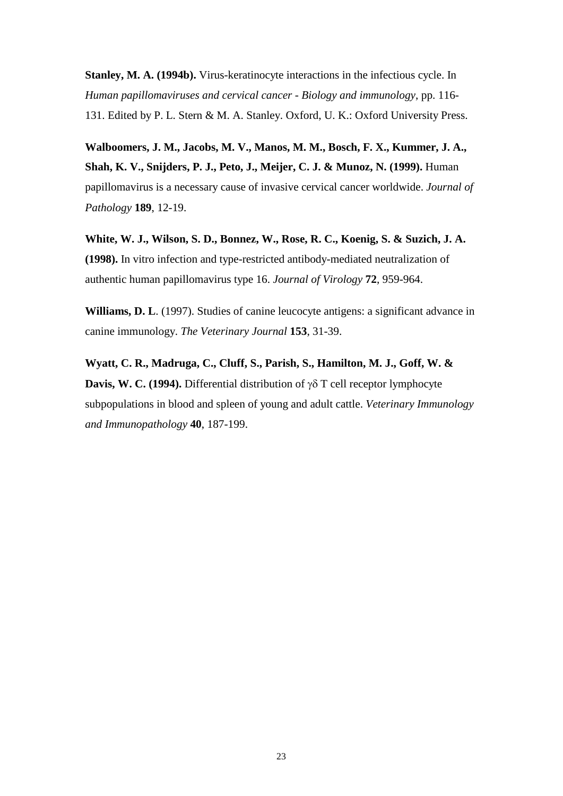**Stanley, M. A. (1994b).** Virus-keratinocyte interactions in the infectious cycle. In *Human papillomaviruses and cervical cancer - Biology and immunology*, pp. 116- 131. Edited by P. L. Stern & M. A. Stanley. Oxford, U. K.: Oxford University Press.

**Walboomers, J. M., Jacobs, M. V., Manos, M. M., Bosch, F. X., Kummer, J. A., Shah, K. V., Snijders, P. J., Peto, J., Meijer, C. J. & Munoz, N. (1999).** Human papillomavirus is a necessary cause of invasive cervical cancer worldwide. *Journal of Pathology* **189**, 12-19.

**White, W. J., Wilson, S. D., Bonnez, W., Rose, R. C., Koenig, S. & Suzich, J. A. (1998).** In vitro infection and type-restricted antibody-mediated neutralization of authentic human papillomavirus type 16. *Journal of Virology* **72**, 959-964.

**Williams, D. L**. (1997). Studies of canine leucocyte antigens: a significant advance in canine immunology. *The Veterinary Journal* **153**, 31-39.

**Wyatt, C. R., Madruga, C., Cluff, S., Parish, S., Hamilton, M. J., Goff, W. & Davis, W. C. (1994).** Differential distribution of γδ T cell receptor lymphocyte subpopulations in blood and spleen of young and adult cattle. *Veterinary Immunology and Immunopathology* **40**, 187-199.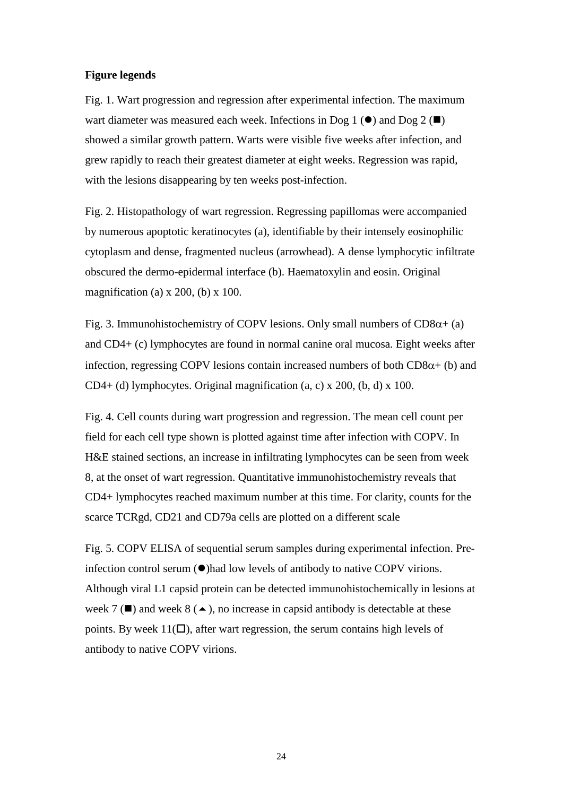## **Figure legends**

Fig. 1. Wart progression and regression after experimental infection. The maximum wart diameter was measured each week. Infections in Dog 1 ( $\bullet$ ) and Dog 2 ( $\blacksquare$ ) showed a similar growth pattern. Warts were visible five weeks after infection, and grew rapidly to reach their greatest diameter at eight weeks. Regression was rapid, with the lesions disappearing by ten weeks post-infection.

Fig. 2. Histopathology of wart regression. Regressing papillomas were accompanied by numerous apoptotic keratinocytes (a), identifiable by their intensely eosinophilic cytoplasm and dense, fragmented nucleus (arrowhead). A dense lymphocytic infiltrate obscured the dermo-epidermal interface (b). Haematoxylin and eosin. Original magnification (a)  $x$  200, (b)  $x$  100.

Fig. 3. Immunohistochemistry of COPV lesions. Only small numbers of  $CD8\alpha + (a)$ and CD4+ (c) lymphocytes are found in normal canine oral mucosa. Eight weeks after infection, regressing COPV lesions contain increased numbers of both  $CD8\alpha+$  (b) and CD4+ (d) lymphocytes. Original magnification (a, c) x 200, (b, d) x 100.

Fig. 4. Cell counts during wart progression and regression. The mean cell count per field for each cell type shown is plotted against time after infection with COPV. In H&E stained sections, an increase in infiltrating lymphocytes can be seen from week 8, at the onset of wart regression. Quantitative immunohistochemistry reveals that CD4+ lymphocytes reached maximum number at this time. For clarity, counts for the scarce TCRgd, CD21 and CD79a cells are plotted on a different scale

Fig. 5. COPV ELISA of sequential serum samples during experimental infection. Preinfection control serum  $(\bullet)$  had low levels of antibody to native COPV virions. Although viral L1 capsid protein can be detected immunohistochemically in lesions at week 7 ( $\blacksquare$ ) and week 8 ( $\blacktriangle$ ), no increase in capsid antibody is detectable at these points. By week  $11(\Box)$ , after wart regression, the serum contains high levels of antibody to native COPV virions.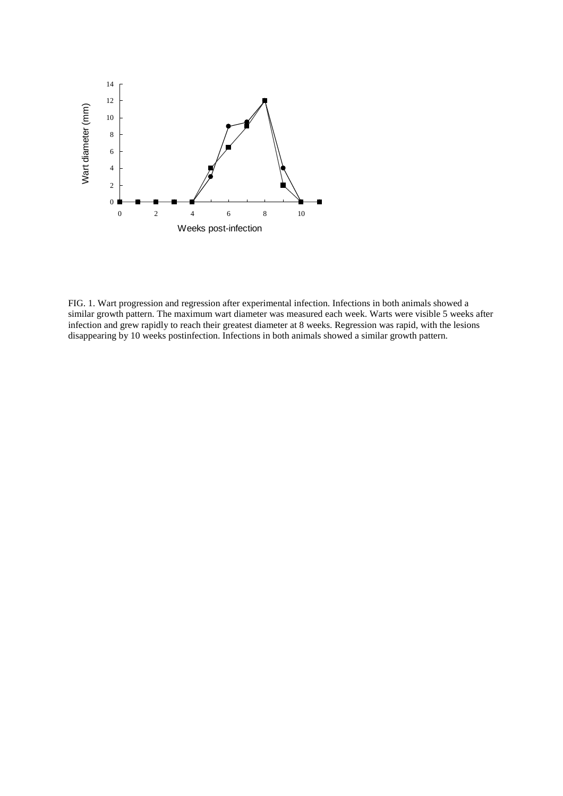

FIG. 1. Wart progression and regression after experimental infection. Infections in both animals showed a similar growth pattern. The maximum wart diameter was measured each week. Warts were visible 5 weeks after infection and grew rapidly to reach their greatest diameter at 8 weeks. Regression was rapid, with the lesions disappearing by 10 weeks postinfection. Infections in both animals showed a similar growth pattern.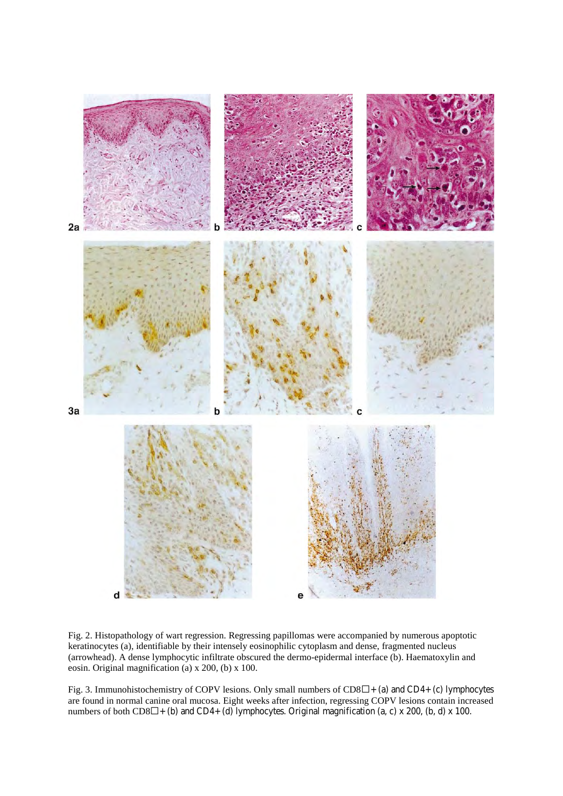

Fig. 2. Histopathology of wart regression. Regressing papillomas were accompanied by numerous apoptotic keratinocytes (a), identifiable by their intensely eosinophilic cytoplasm and dense, fragmented nucleus (arrowhead). A dense lymphocytic infiltrate obscured the dermo-epidermal interface (b). Haematoxylin and eosin. Original magnification (a) x 200, (b) x 100.

Fig. 3. Immunohistochemistry of COPV lesions. Only small numbers of  $CD8\Box +$  (a) and CD4+ (c) lymphocytes are found in normal canine oral mucosa. Eight weeks after infection, regressing COPV lesions contain increased numbers of both  $CD8\Box$  + (b) and  $CD4+$  (d) lymphocytes. Original magnification (a, c) x 200, (b, d) x 100.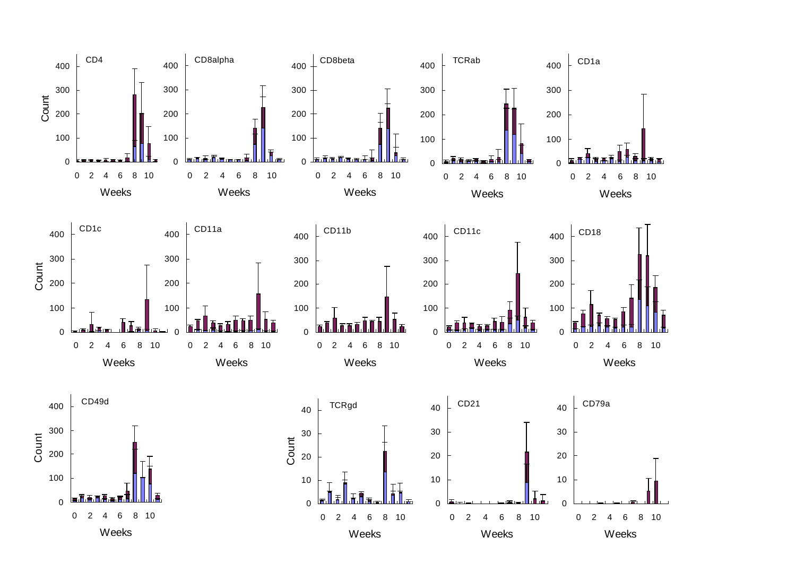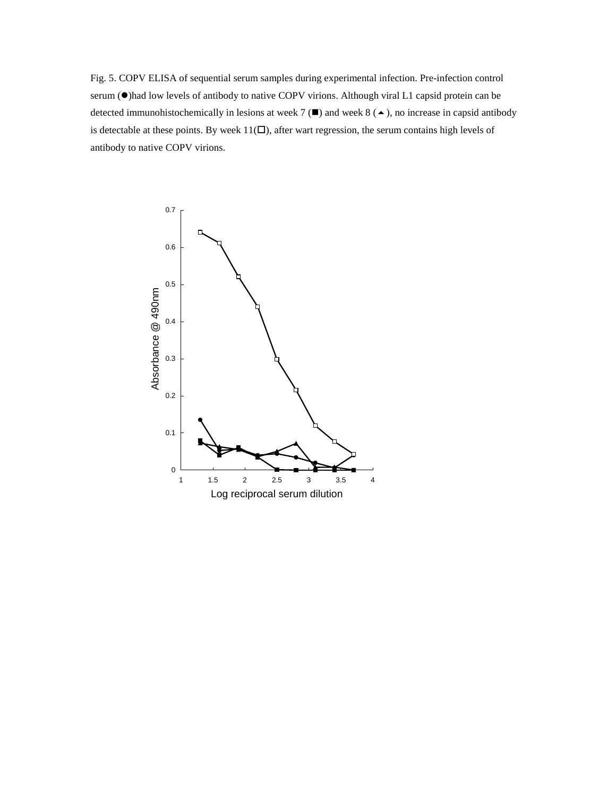Fig. 5. COPV ELISA of sequential serum samples during experimental infection. Pre-infection control serum ( $\bullet$ )had low levels of antibody to native COPV virions. Although viral L1 capsid protein can be detected immunohistochemically in lesions at week 7  $(\blacksquare)$  and week 8  $(\blacktriangle)$ , no increase in capsid antibody is detectable at these points. By week  $11(\square)$ , after wart regression, the serum contains high levels of antibody to native COPV virions.